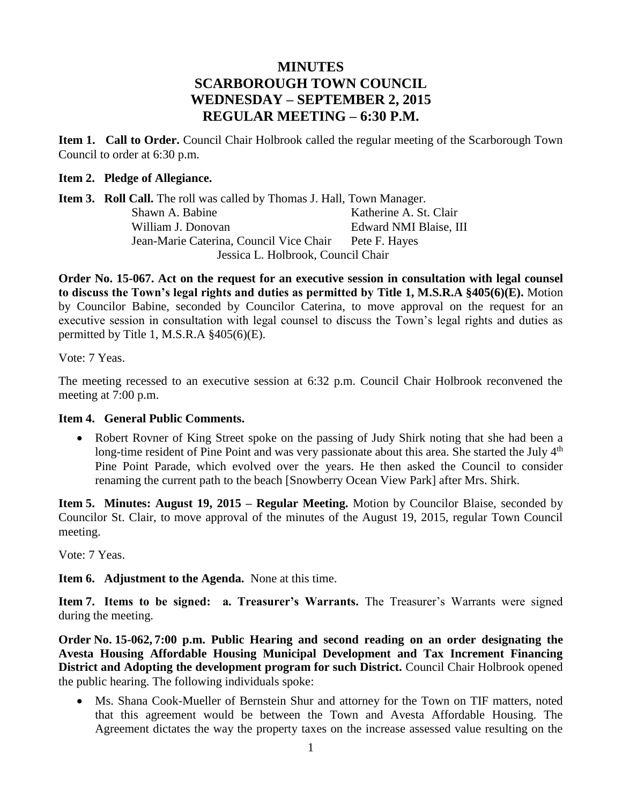# **MINUTES SCARBOROUGH TOWN COUNCIL WEDNESDAY – SEPTEMBER 2, 2015 REGULAR MEETING – 6:30 P.M.**

**Item 1. Call to Order.** Council Chair Holbrook called the regular meeting of the Scarborough Town Council to order at 6:30 p.m.

#### **Item 2. Pledge of Allegiance.**

Item 3. Roll Call. The roll was called by Thomas J. Hall, Town Manager. Shawn A. Babine Katherine A. St. Clair William J. Donovan Edward NMI Blaise, III Jean-Marie Caterina, Council Vice Chair Pete F. Hayes Jessica L. Holbrook, Council Chair

**Order No. 15-067. Act on the request for an executive session in consultation with legal counsel to discuss the Town's legal rights and duties as permitted by Title 1, M.S.R.A §405(6)(E).** Motion by Councilor Babine, seconded by Councilor Caterina, to move approval on the request for an executive session in consultation with legal counsel to discuss the Town's legal rights and duties as permitted by Title 1, M.S.R.A §405(6)(E).

Vote: 7 Yeas.

The meeting recessed to an executive session at 6:32 p.m. Council Chair Holbrook reconvened the meeting at 7:00 p.m.

#### **Item 4. General Public Comments.**

• Robert Rovner of King Street spoke on the passing of Judy Shirk noting that she had been a long-time resident of Pine Point and was very passionate about this area. She started the July  $4<sup>th</sup>$ Pine Point Parade, which evolved over the years. He then asked the Council to consider renaming the current path to the beach [Snowberry Ocean View Park] after Mrs. Shirk.

**Item 5. Minutes: August 19, 2015 – Regular Meeting.** Motion by Councilor Blaise, seconded by Councilor St. Clair, to move approval of the minutes of the August 19, 2015, regular Town Council meeting.

Vote: 7 Yeas.

**Item 6. Adjustment to the Agenda.** None at this time.

**Item 7. Items to be signed: a. Treasurer's Warrants.** The Treasurer's Warrants were signed during the meeting.

**Order No. 15-062, 7:00 p.m. Public Hearing and second reading on an order designating the Avesta Housing Affordable Housing Municipal Development and Tax Increment Financing District and Adopting the development program for such District.** Council Chair Holbrook opened the public hearing. The following individuals spoke:

 Ms. Shana Cook-Mueller of Bernstein Shur and attorney for the Town on TIF matters, noted that this agreement would be between the Town and Avesta Affordable Housing. The Agreement dictates the way the property taxes on the increase assessed value resulting on the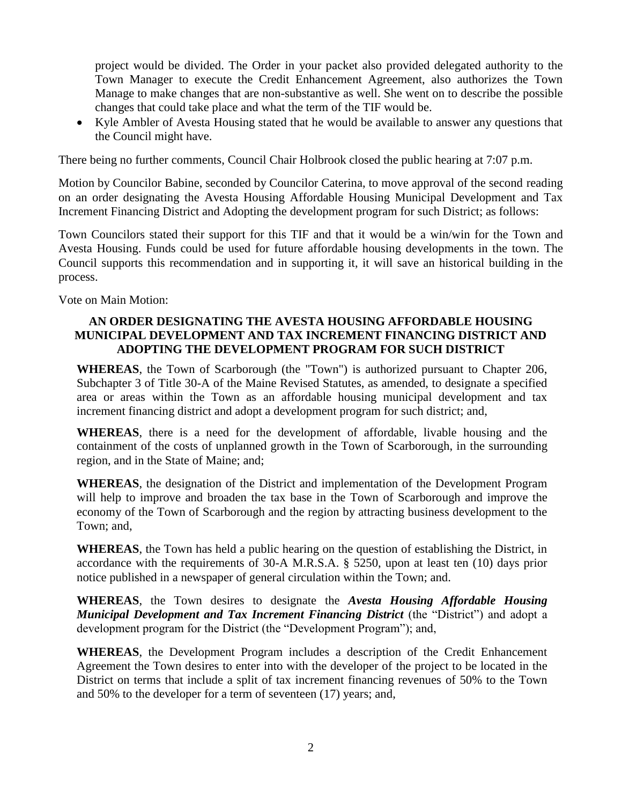project would be divided. The Order in your packet also provided delegated authority to the Town Manager to execute the Credit Enhancement Agreement, also authorizes the Town Manage to make changes that are non-substantive as well. She went on to describe the possible changes that could take place and what the term of the TIF would be.

• Kyle Ambler of Avesta Housing stated that he would be available to answer any questions that the Council might have.

There being no further comments, Council Chair Holbrook closed the public hearing at 7:07 p.m.

Motion by Councilor Babine, seconded by Councilor Caterina, to move approval of the second reading on an order designating the Avesta Housing Affordable Housing Municipal Development and Tax Increment Financing District and Adopting the development program for such District; as follows:

Town Councilors stated their support for this TIF and that it would be a win/win for the Town and Avesta Housing. Funds could be used for future affordable housing developments in the town. The Council supports this recommendation and in supporting it, it will save an historical building in the process.

Vote on Main Motion:

#### **AN ORDER DESIGNATING THE AVESTA HOUSING AFFORDABLE HOUSING MUNICIPAL DEVELOPMENT AND TAX INCREMENT FINANCING DISTRICT AND ADOPTING THE DEVELOPMENT PROGRAM FOR SUCH DISTRICT**

**WHEREAS**, the Town of Scarborough (the "Town") is authorized pursuant to Chapter 206, Subchapter 3 of Title 30-A of the Maine Revised Statutes, as amended, to designate a specified area or areas within the Town as an affordable housing municipal development and tax increment financing district and adopt a development program for such district; and,

**WHEREAS**, there is a need for the development of affordable, livable housing and the containment of the costs of unplanned growth in the Town of Scarborough, in the surrounding region, and in the State of Maine; and;

**WHEREAS**, the designation of the District and implementation of the Development Program will help to improve and broaden the tax base in the Town of Scarborough and improve the economy of the Town of Scarborough and the region by attracting business development to the Town; and,

**WHEREAS**, the Town has held a public hearing on the question of establishing the District, in accordance with the requirements of 30-A M.R.S.A. § 5250, upon at least ten (10) days prior notice published in a newspaper of general circulation within the Town; and.

**WHEREAS**, the Town desires to designate the *Avesta Housing Affordable Housing Municipal Development and Tax Increment Financing District* (the "District") and adopt a development program for the District (the "Development Program"); and,

**WHEREAS**, the Development Program includes a description of the Credit Enhancement Agreement the Town desires to enter into with the developer of the project to be located in the District on terms that include a split of tax increment financing revenues of 50% to the Town and 50% to the developer for a term of seventeen (17) years; and,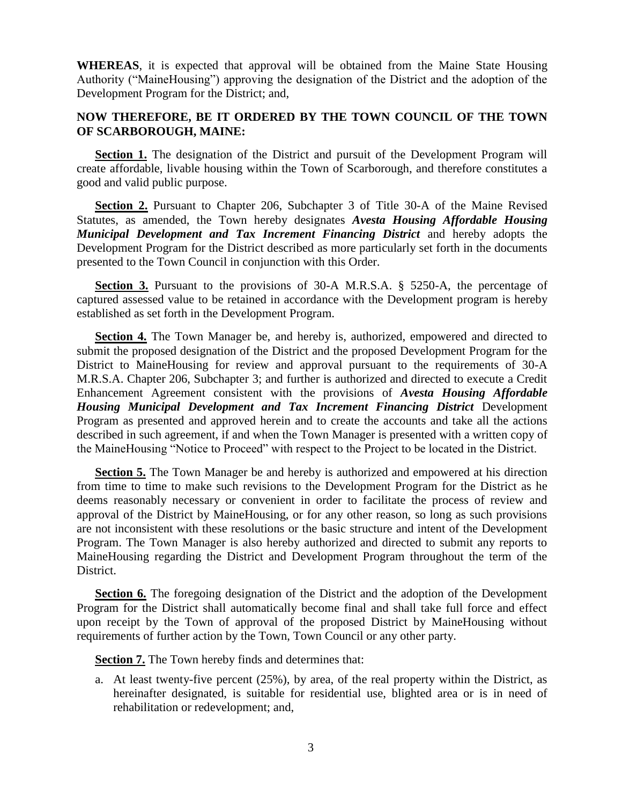**WHEREAS**, it is expected that approval will be obtained from the Maine State Housing Authority ("MaineHousing") approving the designation of the District and the adoption of the Development Program for the District; and,

#### **NOW THEREFORE, BE IT ORDERED BY THE TOWN COUNCIL OF THE TOWN OF SCARBOROUGH, MAINE:**

**Section 1.** The designation of the District and pursuit of the Development Program will create affordable, livable housing within the Town of Scarborough, and therefore constitutes a good and valid public purpose.

**Section 2.** Pursuant to Chapter 206, Subchapter 3 of Title 30-A of the Maine Revised Statutes, as amended, the Town hereby designates *Avesta Housing Affordable Housing Municipal Development and Tax Increment Financing District* and hereby adopts the Development Program for the District described as more particularly set forth in the documents presented to the Town Council in conjunction with this Order.

**Section 3.** Pursuant to the provisions of 30-A M.R.S.A. § 5250-A, the percentage of captured assessed value to be retained in accordance with the Development program is hereby established as set forth in the Development Program.

**Section 4.** The Town Manager be, and hereby is, authorized, empowered and directed to submit the proposed designation of the District and the proposed Development Program for the District to MaineHousing for review and approval pursuant to the requirements of 30-A M.R.S.A. Chapter 206, Subchapter 3; and further is authorized and directed to execute a Credit Enhancement Agreement consistent with the provisions of *Avesta Housing Affordable Housing Municipal Development and Tax Increment Financing District* Development Program as presented and approved herein and to create the accounts and take all the actions described in such agreement, if and when the Town Manager is presented with a written copy of the MaineHousing "Notice to Proceed" with respect to the Project to be located in the District.

**Section 5.** The Town Manager be and hereby is authorized and empowered at his direction from time to time to make such revisions to the Development Program for the District as he deems reasonably necessary or convenient in order to facilitate the process of review and approval of the District by MaineHousing, or for any other reason, so long as such provisions are not inconsistent with these resolutions or the basic structure and intent of the Development Program. The Town Manager is also hereby authorized and directed to submit any reports to MaineHousing regarding the District and Development Program throughout the term of the District.

**Section 6.** The foregoing designation of the District and the adoption of the Development Program for the District shall automatically become final and shall take full force and effect upon receipt by the Town of approval of the proposed District by MaineHousing without requirements of further action by the Town, Town Council or any other party.

**Section 7.** The Town hereby finds and determines that:

a. At least twenty-five percent (25%), by area, of the real property within the District, as hereinafter designated, is suitable for residential use, blighted area or is in need of rehabilitation or redevelopment; and,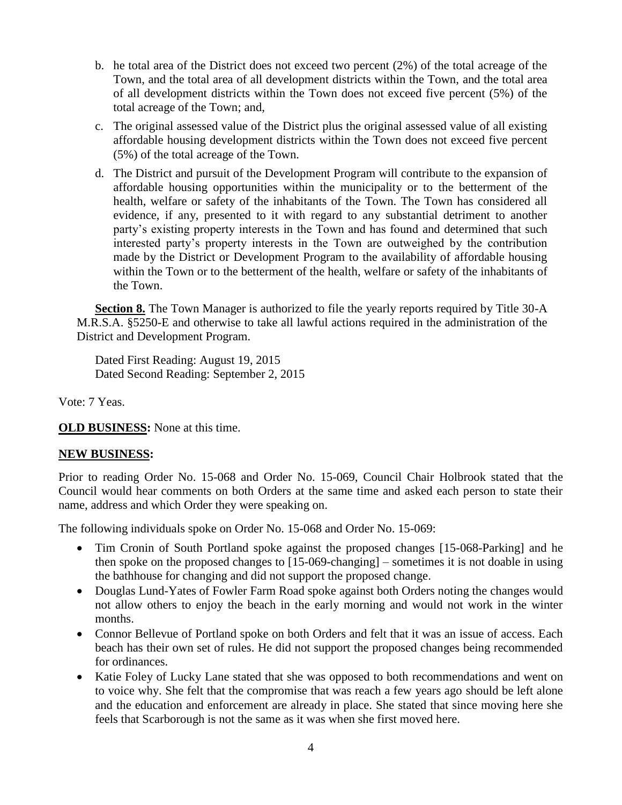- b. he total area of the District does not exceed two percent (2%) of the total acreage of the Town, and the total area of all development districts within the Town, and the total area of all development districts within the Town does not exceed five percent (5%) of the total acreage of the Town; and,
- c. The original assessed value of the District plus the original assessed value of all existing affordable housing development districts within the Town does not exceed five percent (5%) of the total acreage of the Town.
- d. The District and pursuit of the Development Program will contribute to the expansion of affordable housing opportunities within the municipality or to the betterment of the health, welfare or safety of the inhabitants of the Town. The Town has considered all evidence, if any, presented to it with regard to any substantial detriment to another party's existing property interests in the Town and has found and determined that such interested party's property interests in the Town are outweighed by the contribution made by the District or Development Program to the availability of affordable housing within the Town or to the betterment of the health, welfare or safety of the inhabitants of the Town.

**Section 8.** The Town Manager is authorized to file the yearly reports required by Title 30-A M.R.S.A. §5250-E and otherwise to take all lawful actions required in the administration of the District and Development Program.

Dated First Reading: August 19, 2015 Dated Second Reading: September 2, 2015

Vote: 7 Yeas.

**OLD BUSINESS:** None at this time.

#### **NEW BUSINESS:**

Prior to reading Order No. 15-068 and Order No. 15-069, Council Chair Holbrook stated that the Council would hear comments on both Orders at the same time and asked each person to state their name, address and which Order they were speaking on.

The following individuals spoke on Order No. 15-068 and Order No. 15-069:

- Tim Cronin of South Portland spoke against the proposed changes [15-068-Parking] and he then spoke on the proposed changes to [15-069-changing] – sometimes it is not doable in using the bathhouse for changing and did not support the proposed change.
- Douglas Lund-Yates of Fowler Farm Road spoke against both Orders noting the changes would not allow others to enjoy the beach in the early morning and would not work in the winter months.
- Connor Bellevue of Portland spoke on both Orders and felt that it was an issue of access. Each beach has their own set of rules. He did not support the proposed changes being recommended for ordinances.
- Katie Foley of Lucky Lane stated that she was opposed to both recommendations and went on to voice why. She felt that the compromise that was reach a few years ago should be left alone and the education and enforcement are already in place. She stated that since moving here she feels that Scarborough is not the same as it was when she first moved here.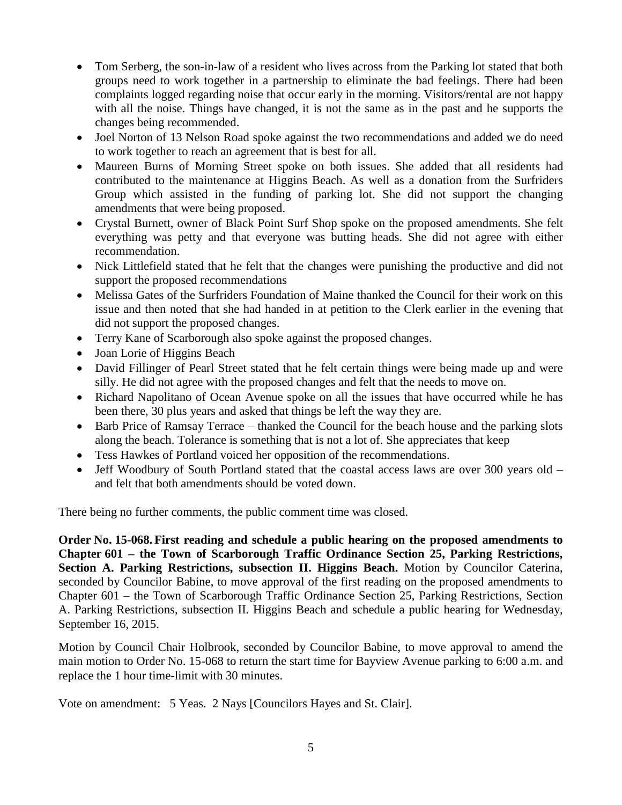- Tom Serberg, the son-in-law of a resident who lives across from the Parking lot stated that both groups need to work together in a partnership to eliminate the bad feelings. There had been complaints logged regarding noise that occur early in the morning. Visitors/rental are not happy with all the noise. Things have changed, it is not the same as in the past and he supports the changes being recommended.
- Joel Norton of 13 Nelson Road spoke against the two recommendations and added we do need to work together to reach an agreement that is best for all.
- Maureen Burns of Morning Street spoke on both issues. She added that all residents had contributed to the maintenance at Higgins Beach. As well as a donation from the Surfriders Group which assisted in the funding of parking lot. She did not support the changing amendments that were being proposed.
- Crystal Burnett, owner of Black Point Surf Shop spoke on the proposed amendments. She felt everything was petty and that everyone was butting heads. She did not agree with either recommendation.
- Nick Littlefield stated that he felt that the changes were punishing the productive and did not support the proposed recommendations
- Melissa Gates of the Surfriders Foundation of Maine thanked the Council for their work on this issue and then noted that she had handed in at petition to the Clerk earlier in the evening that did not support the proposed changes.
- Terry Kane of Scarborough also spoke against the proposed changes.
- Joan Lorie of Higgins Beach
- David Fillinger of Pearl Street stated that he felt certain things were being made up and were silly. He did not agree with the proposed changes and felt that the needs to move on.
- Richard Napolitano of Ocean Avenue spoke on all the issues that have occurred while he has been there, 30 plus years and asked that things be left the way they are.
- Barb Price of Ramsay Terrace thanked the Council for the beach house and the parking slots along the beach. Tolerance is something that is not a lot of. She appreciates that keep
- Tess Hawkes of Portland voiced her opposition of the recommendations.
- Jeff Woodbury of South Portland stated that the coastal access laws are over 300 years old and felt that both amendments should be voted down.

There being no further comments, the public comment time was closed.

**Order No. 15-068. First reading and schedule a public hearing on the proposed amendments to Chapter 601 – the Town of Scarborough Traffic Ordinance Section 25, Parking Restrictions, Section A. Parking Restrictions, subsection II. Higgins Beach.** Motion by Councilor Caterina, seconded by Councilor Babine, to move approval of the first reading on the proposed amendments to Chapter 601 – the Town of Scarborough Traffic Ordinance Section 25, Parking Restrictions, Section A. Parking Restrictions, subsection II. Higgins Beach and schedule a public hearing for Wednesday, September 16, 2015.

Motion by Council Chair Holbrook, seconded by Councilor Babine, to move approval to amend the main motion to Order No. 15-068 to return the start time for Bayview Avenue parking to 6:00 a.m. and replace the 1 hour time-limit with 30 minutes.

Vote on amendment: 5 Yeas. 2 Nays [Councilors Hayes and St. Clair].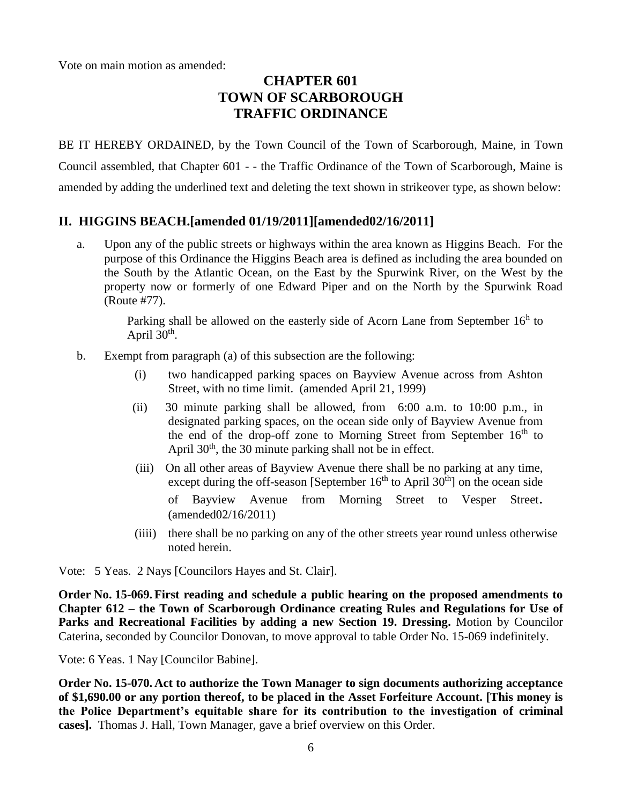Vote on main motion as amended:

# **CHAPTER 601 TOWN OF SCARBOROUGH TRAFFIC ORDINANCE**

BE IT HEREBY ORDAINED, by the Town Council of the Town of Scarborough, Maine, in Town Council assembled, that Chapter 601 - - the Traffic Ordinance of the Town of Scarborough, Maine is amended by adding the underlined text and deleting the text shown in strikeover type, as shown below:

## **II. HIGGINS BEACH.[amended 01/19/2011][amended02/16/2011]**

a. Upon any of the public streets or highways within the area known as Higgins Beach. For the purpose of this Ordinance the Higgins Beach area is defined as including the area bounded on the South by the Atlantic Ocean, on the East by the Spurwink River, on the West by the property now or formerly of one Edward Piper and on the North by the Spurwink Road (Route #77).

> Parking shall be allowed on the easterly side of Acorn Lane from September  $16<sup>h</sup>$  to April  $30<sup>th</sup>$ .

- b. Exempt from paragraph (a) of this subsection are the following:
	- (i) two handicapped parking spaces on Bayview Avenue across from Ashton Street, with no time limit. (amended April 21, 1999)
	- (ii) 30 minute parking shall be allowed, from 6:00 a.m. to 10:00 p.m., in designated parking spaces, on the ocean side only of Bayview Avenue from the end of the drop-off zone to Morning Street from September 16<sup>th</sup> to April  $30<sup>th</sup>$ , the 30 minute parking shall not be in effect.
	- (iii) On all other areas of Bayview Avenue there shall be no parking at any time, except during the off-season [September  $16<sup>th</sup>$  to April  $30<sup>th</sup>$ ] on the ocean side of Bayview Avenue from Morning Street to Vesper Street. (amended02/16/2011)
	- (iiii) there shall be no parking on any of the other streets year round unless otherwise noted herein.

Vote: 5 Yeas. 2 Nays [Councilors Hayes and St. Clair].

**Order No. 15-069. First reading and schedule a public hearing on the proposed amendments to Chapter 612 – the Town of Scarborough Ordinance creating Rules and Regulations for Use of Parks and Recreational Facilities by adding a new Section 19. Dressing.** Motion by Councilor Caterina, seconded by Councilor Donovan, to move approval to table Order No. 15-069 indefinitely.

Vote: 6 Yeas. 1 Nay [Councilor Babine].

**Order No. 15-070. Act to authorize the Town Manager to sign documents authorizing acceptance of \$1,690.00 or any portion thereof, to be placed in the Asset Forfeiture Account. [This money is the Police Department's equitable share for its contribution to the investigation of criminal cases].** Thomas J. Hall, Town Manager, gave a brief overview on this Order.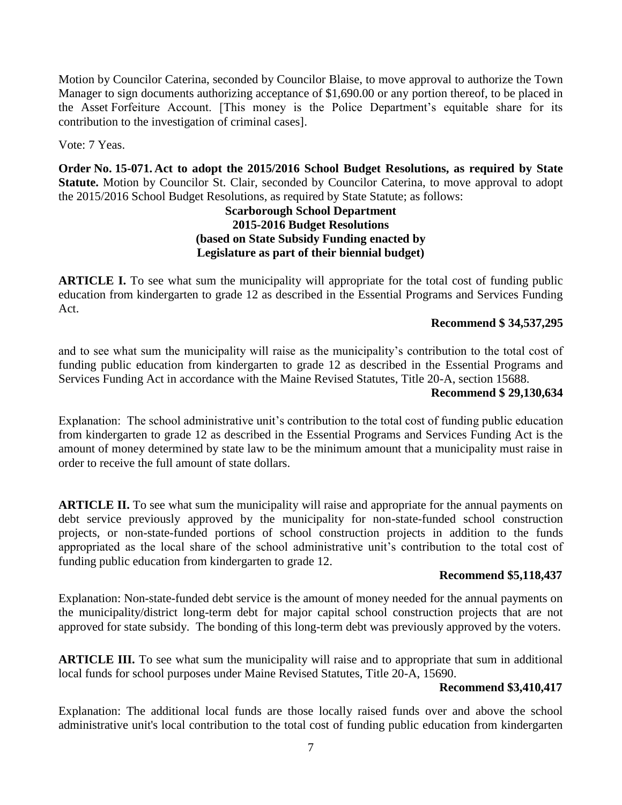Motion by Councilor Caterina, seconded by Councilor Blaise, to move approval to authorize the Town Manager to sign documents authorizing acceptance of \$1,690.00 or any portion thereof, to be placed in the Asset Forfeiture Account. [This money is the Police Department's equitable share for its contribution to the investigation of criminal cases].

Vote: 7 Yeas.

**Order No. 15-071. Act to adopt the 2015/2016 School Budget Resolutions, as required by State Statute.** Motion by Councilor St. Clair, seconded by Councilor Caterina, to move approval to adopt the 2015/2016 School Budget Resolutions, as required by State Statute; as follows:

#### **Scarborough School Department 2015-2016 Budget Resolutions (based on State Subsidy Funding enacted by Legislature as part of their biennial budget)**

**ARTICLE I.** To see what sum the municipality will appropriate for the total cost of funding public education from kindergarten to grade 12 as described in the Essential Programs and Services Funding Act.

## **Recommend \$ 34,537,295**

and to see what sum the municipality will raise as the municipality's contribution to the total cost of funding public education from kindergarten to grade 12 as described in the Essential Programs and Services Funding Act in accordance with the Maine Revised Statutes, Title 20-A, section 15688.

#### **Recommend \$ 29,130,634**

Explanation: The school administrative unit's contribution to the total cost of funding public education from kindergarten to grade 12 as described in the Essential Programs and Services Funding Act is the amount of money determined by state law to be the minimum amount that a municipality must raise in order to receive the full amount of state dollars.

**ARTICLE II.** To see what sum the municipality will raise and appropriate for the annual payments on debt service previously approved by the municipality for non-state-funded school construction projects, or non-state-funded portions of school construction projects in addition to the funds appropriated as the local share of the school administrative unit's contribution to the total cost of funding public education from kindergarten to grade 12.

## **Recommend \$5,118,437**

Explanation: Non-state-funded debt service is the amount of money needed for the annual payments on the municipality/district long-term debt for major capital school construction projects that are not approved for state subsidy. The bonding of this long-term debt was previously approved by the voters.

**ARTICLE III.** To see what sum the municipality will raise and to appropriate that sum in additional local funds for school purposes under Maine Revised Statutes, Title 20-A, 15690.

#### **Recommend \$3,410,417**

Explanation: The additional local funds are those locally raised funds over and above the school administrative unit's local contribution to the total cost of funding public education from kindergarten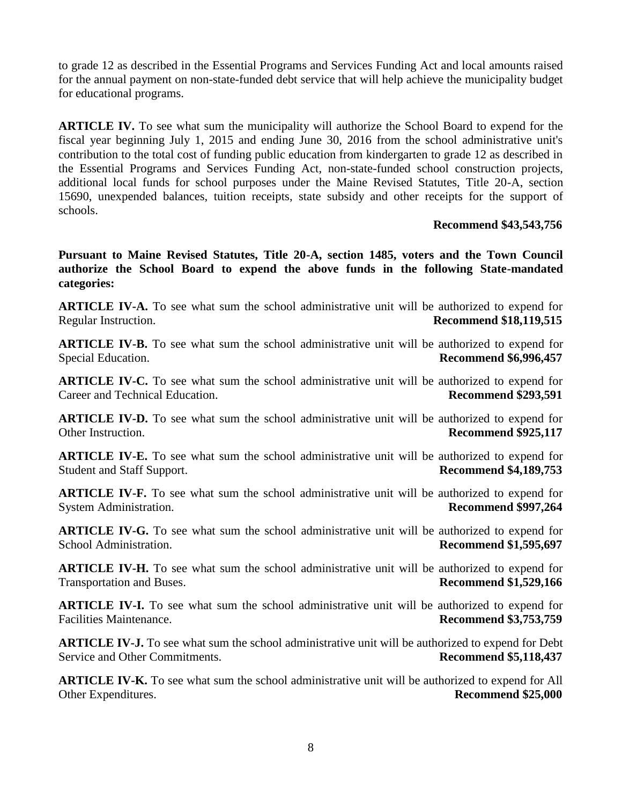to grade 12 as described in the Essential Programs and Services Funding Act and local amounts raised for the annual payment on non-state-funded debt service that will help achieve the municipality budget for educational programs.

**ARTICLE IV.** To see what sum the municipality will authorize the School Board to expend for the fiscal year beginning July 1, 2015 and ending June 30, 2016 from the school administrative unit's contribution to the total cost of funding public education from kindergarten to grade 12 as described in the Essential Programs and Services Funding Act, non-state-funded school construction projects, additional local funds for school purposes under the Maine Revised Statutes, Title 20-A, section 15690, unexpended balances, tuition receipts, state subsidy and other receipts for the support of schools.

#### **Recommend \$43,543,756**

**Pursuant to Maine Revised Statutes, Title 20-A, section 1485, voters and the Town Council authorize the School Board to expend the above funds in the following State-mandated categories:**

**ARTICLE IV-A.** To see what sum the school administrative unit will be authorized to expend for Regular Instruction. **Recommend \$18,119,515**

**ARTICLE IV-B.** To see what sum the school administrative unit will be authorized to expend for Special Education. **Recommend \$6,996,457**

**ARTICLE IV-C.** To see what sum the school administrative unit will be authorized to expend for Career and Technical Education. **Recommend \$293,591**

**ARTICLE IV-D.** To see what sum the school administrative unit will be authorized to expend for Other Instruction. **Recommend \$925,117**

**ARTICLE IV-E.** To see what sum the school administrative unit will be authorized to expend for Student and Staff Support. **Recommend \$4,189,753**

**ARTICLE IV-F.** To see what sum the school administrative unit will be authorized to expend for System Administration. **Recommend \$997,264**

**ARTICLE IV-G.** To see what sum the school administrative unit will be authorized to expend for School Administration. **Recommend \$1,595,697**

**ARTICLE IV-H.** To see what sum the school administrative unit will be authorized to expend for Transportation and Buses. **Recommend \$1,529,166**

**ARTICLE IV-I.** To see what sum the school administrative unit will be authorized to expend for Facilities Maintenance. **Recommend \$3,753,759** 

**ARTICLE IV-J.** To see what sum the school administrative unit will be authorized to expend for Debt Service and Other Commitments. **Recommend \$5,118,437**

**ARTICLE IV-K.** To see what sum the school administrative unit will be authorized to expend for All Other Expenditures. **Recommend \$25,000**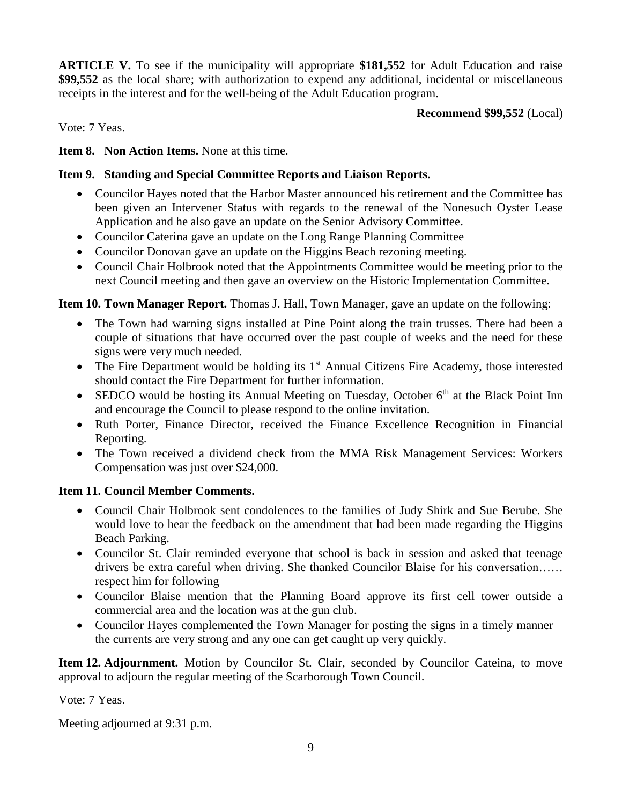**ARTICLE V.** To see if the municipality will appropriate **\$181,552** for Adult Education and raise **\$99,552** as the local share; with authorization to expend any additional, incidental or miscellaneous receipts in the interest and for the well-being of the Adult Education program.

**Recommend \$99,552** (Local)

Vote: 7 Yeas.

**Item 8. Non Action Items.** None at this time.

## **Item 9. Standing and Special Committee Reports and Liaison Reports.**

- Councilor Hayes noted that the Harbor Master announced his retirement and the Committee has been given an Intervener Status with regards to the renewal of the Nonesuch Oyster Lease Application and he also gave an update on the Senior Advisory Committee.
- Councilor Caterina gave an update on the Long Range Planning Committee
- Councilor Donovan gave an update on the Higgins Beach rezoning meeting.
- Council Chair Holbrook noted that the Appointments Committee would be meeting prior to the next Council meeting and then gave an overview on the Historic Implementation Committee.

**Item 10. Town Manager Report.** Thomas J. Hall, Town Manager, gave an update on the following:

- The Town had warning signs installed at Pine Point along the train trusses. There had been a couple of situations that have occurred over the past couple of weeks and the need for these signs were very much needed.
- $\bullet$  The Fire Department would be holding its 1<sup>st</sup> Annual Citizens Fire Academy, those interested should contact the Fire Department for further information.
- SEDCO would be hosting its Annual Meeting on Tuesday, October 6<sup>th</sup> at the Black Point Inn and encourage the Council to please respond to the online invitation.
- Ruth Porter, Finance Director, received the Finance Excellence Recognition in Financial Reporting.
- The Town received a dividend check from the MMA Risk Management Services: Workers Compensation was just over \$24,000.

## **Item 11. Council Member Comments.**

- Council Chair Holbrook sent condolences to the families of Judy Shirk and Sue Berube. She would love to hear the feedback on the amendment that had been made regarding the Higgins Beach Parking.
- Councilor St. Clair reminded everyone that school is back in session and asked that teenage drivers be extra careful when driving. She thanked Councilor Blaise for his conversation…… respect him for following
- Councilor Blaise mention that the Planning Board approve its first cell tower outside a commercial area and the location was at the gun club.
- Councilor Hayes complemented the Town Manager for posting the signs in a timely manner the currents are very strong and any one can get caught up very quickly.

**Item 12. Adjournment.** Motion by Councilor St. Clair, seconded by Councilor Cateina, to move approval to adjourn the regular meeting of the Scarborough Town Council.

Vote: 7 Yeas.

Meeting adjourned at 9:31 p.m.